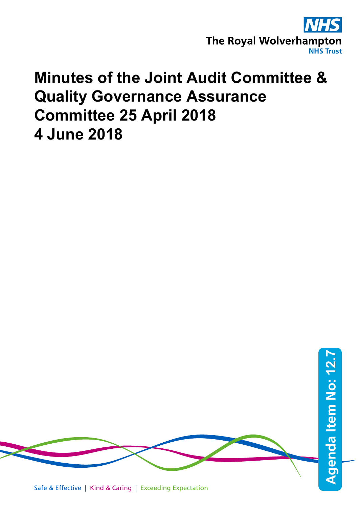

## **Minutes of the Joint Audit Committee & Quality Governance Assurance Committee 25 April 2018 4 June 2018**

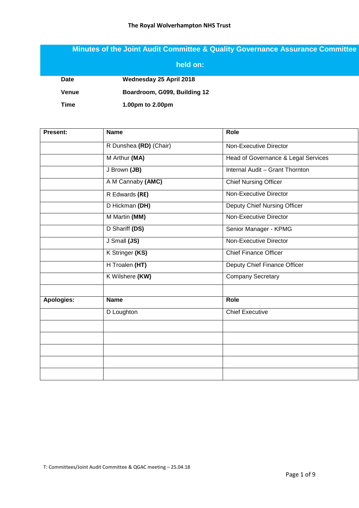## **Minutes of the Joint Audit Committee & Quality Governance Assurance Committee**

|              | held on:                     |
|--------------|------------------------------|
| <b>Date</b>  | Wednesday 25 April 2018      |
| <b>Venue</b> | Boardroom, G099, Building 12 |
| Time         | 1.00pm to 2.00pm             |

| Present:   | <b>Name</b>            | Role                                |
|------------|------------------------|-------------------------------------|
|            | R Dunshea (RD) (Chair) | <b>Non-Executive Director</b>       |
|            | M Arthur (MA)          | Head of Governance & Legal Services |
|            | J Brown (JB)           | Internal Audit - Grant Thornton     |
|            | A M Cannaby (AMC)      | <b>Chief Nursing Officer</b>        |
|            | R Edwards (RE)         | Non-Executive Director              |
|            | D Hickman (DH)         | Deputy Chief Nursing Officer        |
|            | M Martin (MM)          | <b>Non-Executive Director</b>       |
|            | D Shariff (DS)         | Senior Manager - KPMG               |
|            | J Small (JS)           | <b>Non-Executive Director</b>       |
|            | K Stringer (KS)        | <b>Chief Finance Officer</b>        |
|            | H Troalen (HT)         | Deputy Chief Finance Officer        |
|            | K Wilshere (KW)        | Company Secretary                   |
| Apologies: | <b>Name</b>            | Role                                |
|            | D Loughton             | <b>Chief Executive</b>              |
|            |                        |                                     |
|            |                        |                                     |
|            |                        |                                     |
|            |                        |                                     |
|            |                        |                                     |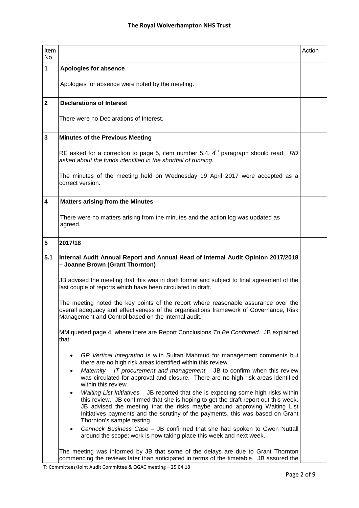| Item<br>No.             |                                                                                                                                                                                                                                                                                                                                                                                      | Action |  |  |  |  |
|-------------------------|--------------------------------------------------------------------------------------------------------------------------------------------------------------------------------------------------------------------------------------------------------------------------------------------------------------------------------------------------------------------------------------|--------|--|--|--|--|
| $\mathbf{1}$            | <b>Apologies for absence</b>                                                                                                                                                                                                                                                                                                                                                         |        |  |  |  |  |
|                         | Apologies for absence were noted by the meeting.                                                                                                                                                                                                                                                                                                                                     |        |  |  |  |  |
| $\overline{\mathbf{2}}$ | <b>Declarations of Interest</b>                                                                                                                                                                                                                                                                                                                                                      |        |  |  |  |  |
|                         | There were no Declarations of Interest.                                                                                                                                                                                                                                                                                                                                              |        |  |  |  |  |
| $\mathbf{3}$            | <b>Minutes of the Previous Meeting</b>                                                                                                                                                                                                                                                                                                                                               |        |  |  |  |  |
|                         | RE asked for a correction to page 5, item number 5.4, $4th$ paragraph should read: RD<br>asked about the funds identified in the shortfall of running.                                                                                                                                                                                                                               |        |  |  |  |  |
|                         | The minutes of the meeting held on Wednesday 19 April 2017 were accepted as a<br>correct version.                                                                                                                                                                                                                                                                                    |        |  |  |  |  |
| 4                       | <b>Matters arising from the Minutes</b>                                                                                                                                                                                                                                                                                                                                              |        |  |  |  |  |
|                         | There were no matters arising from the minutes and the action log was updated as<br>agreed.                                                                                                                                                                                                                                                                                          |        |  |  |  |  |
| 5                       | 2017/18                                                                                                                                                                                                                                                                                                                                                                              |        |  |  |  |  |
| 5.1                     | Internal Audit Annual Report and Annual Head of Internal Audit Opinion 2017/2018<br>- Joanne Brown (Grant Thornton)                                                                                                                                                                                                                                                                  |        |  |  |  |  |
|                         | JB advised the meeting that this was in draft format and subject to final agreement of the<br>last couple of reports which have been circulated in draft.                                                                                                                                                                                                                            |        |  |  |  |  |
|                         | The meeting noted the key points of the report where reasonable assurance over the<br>overall adequacy and effectiveness of the organisations framework of Governance, Risk<br>Management and Control based on the internal audit.                                                                                                                                                   |        |  |  |  |  |
|                         | MM queried page 4, where there are Report Conclusions To Be Confirmed. JB explained<br>that:                                                                                                                                                                                                                                                                                         |        |  |  |  |  |
|                         | GP Vertical Integration is with Sultan Mahmud for management comments but<br>$\bullet$<br>there are no high risk areas identified within this review.<br>Maternity $-$ IT procurement and management $-$ JB to confirm when this review<br>$\bullet$                                                                                                                                 |        |  |  |  |  |
|                         | was circulated for approval and closure. There are no high risk areas identified<br>within this review.                                                                                                                                                                                                                                                                              |        |  |  |  |  |
|                         | Waiting List Initiatives - JB reported that she is expecting some high risks within<br>$\bullet$<br>this review. JB confirmed that she is hoping to get the draft report out this week.<br>JB advised the meeting that the risks maybe around approving Waiting List<br>Initiatives payments and the scrutiny of the payments, this was based on Grant<br>Thornton's sample testing. |        |  |  |  |  |
|                         | Cannock Business Case - JB confirmed that she had spoken to Gwen Nuttall<br>$\bullet$<br>around the scope; work is now taking place this week and next week.                                                                                                                                                                                                                         |        |  |  |  |  |
|                         | The meeting was informed by JB that some of the delays are due to Grant Thornton<br>commencing the reviews later than anticipated in terms of the timetable. JB assured the                                                                                                                                                                                                          |        |  |  |  |  |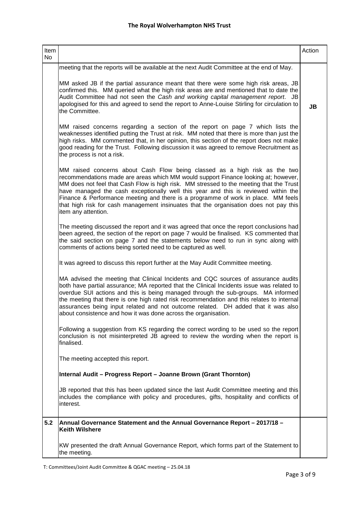| Item<br>No |                                                                                                                                                                                                                                                                                                                                                                                                                                                                                                                                                        | Action |
|------------|--------------------------------------------------------------------------------------------------------------------------------------------------------------------------------------------------------------------------------------------------------------------------------------------------------------------------------------------------------------------------------------------------------------------------------------------------------------------------------------------------------------------------------------------------------|--------|
|            | meeting that the reports will be available at the next Audit Committee at the end of May.                                                                                                                                                                                                                                                                                                                                                                                                                                                              |        |
|            | MM asked JB if the partial assurance meant that there were some high risk areas, JB<br>confirmed this. MM queried what the high risk areas are and mentioned that to date the<br>Audit Committee had not seen the Cash and working capital management report. JB<br>apologised for this and agreed to send the report to Anne-Louise Stirling for circulation to<br>the Committee.                                                                                                                                                                     | JB     |
|            | MM raised concerns regarding a section of the report on page 7 which lists the<br>weaknesses identified putting the Trust at risk. MM noted that there is more than just the<br>high risks. MM commented that, in her opinion, this section of the report does not make<br>good reading for the Trust. Following discussion it was agreed to remove Recruitment as<br>the process is not a risk.                                                                                                                                                       |        |
|            | MM raised concerns about Cash Flow being classed as a high risk as the two<br>recommendations made are areas which MM would support Finance looking at; however,<br>MM does not feel that Cash Flow is high risk. MM stressed to the meeting that the Trust<br>have managed the cash exceptionally well this year and this is reviewed within the<br>Finance & Performance meeting and there is a programme of work in place. MM feels<br>that high risk for cash management insinuates that the organisation does not pay this<br>item any attention. |        |
|            | The meeting discussed the report and it was agreed that once the report conclusions had<br>been agreed, the section of the report on page 7 would be finalised. KS commented that<br>the said section on page 7 and the statements below need to run in sync along with<br>comments of actions being sorted need to be captured as well.                                                                                                                                                                                                               |        |
|            | It was agreed to discuss this report further at the May Audit Committee meeting.                                                                                                                                                                                                                                                                                                                                                                                                                                                                       |        |
|            | MA advised the meeting that Clinical Incidents and CQC sources of assurance audits<br>both have partial assurance; MA reported that the Clinical Incidents issue was related to<br>overdue SUI actions and this is being managed through the sub-groups. MA informed<br>the meeting that there is one high rated risk recommendation and this relates to internal<br>assurances being input related and not outcome related. DH added that it was also<br>about consistence and how it was done across the organisation.                               |        |
|            | Following a suggestion from KS regarding the correct wording to be used so the report<br>conclusion is not misinterpreted JB agreed to review the wording when the report is<br>finalised.                                                                                                                                                                                                                                                                                                                                                             |        |
|            | The meeting accepted this report.                                                                                                                                                                                                                                                                                                                                                                                                                                                                                                                      |        |
|            | Internal Audit - Progress Report - Joanne Brown (Grant Thornton)                                                                                                                                                                                                                                                                                                                                                                                                                                                                                       |        |
|            | JB reported that this has been updated since the last Audit Committee meeting and this<br>includes the compliance with policy and procedures, gifts, hospitality and conflicts of<br>interest.                                                                                                                                                                                                                                                                                                                                                         |        |
| 5.2        | Annual Governance Statement and the Annual Governance Report - 2017/18 -<br><b>Keith Wilshere</b>                                                                                                                                                                                                                                                                                                                                                                                                                                                      |        |
|            | KW presented the draft Annual Governance Report, which forms part of the Statement to<br>the meeting.                                                                                                                                                                                                                                                                                                                                                                                                                                                  |        |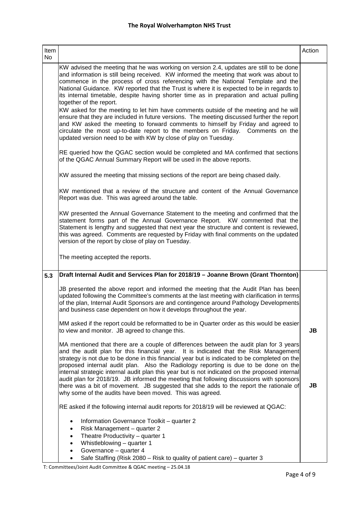| Item<br>No |                                                                                                                                                                                                                                                                                                                                                                                                                                                                                                                                                                                                                                                                | Action |
|------------|----------------------------------------------------------------------------------------------------------------------------------------------------------------------------------------------------------------------------------------------------------------------------------------------------------------------------------------------------------------------------------------------------------------------------------------------------------------------------------------------------------------------------------------------------------------------------------------------------------------------------------------------------------------|--------|
|            | KW advised the meeting that he was working on version 2.4, updates are still to be done<br>and information is still being received. KW informed the meeting that work was about to<br>commence in the process of cross referencing with the National Template and the<br>National Guidance. KW reported that the Trust is where it is expected to be in regards to<br>its internal timetable, despite having shorter time as in preparation and actual pulling<br>together of the report.                                                                                                                                                                      |        |
|            | KW asked for the meeting to let him have comments outside of the meeting and he will<br>ensure that they are included in future versions. The meeting discussed further the report<br>and KW asked the meeting to forward comments to himself by Friday and agreed to<br>circulate the most up-to-date report to the members on Friday.<br>Comments on the<br>updated version need to be with KW by close of play on Tuesday.                                                                                                                                                                                                                                  |        |
|            | RE queried how the QGAC section would be completed and MA confirmed that sections<br>of the QGAC Annual Summary Report will be used in the above reports.                                                                                                                                                                                                                                                                                                                                                                                                                                                                                                      |        |
|            | KW assured the meeting that missing sections of the report are being chased daily.                                                                                                                                                                                                                                                                                                                                                                                                                                                                                                                                                                             |        |
|            | KW mentioned that a review of the structure and content of the Annual Governance<br>Report was due. This was agreed around the table.                                                                                                                                                                                                                                                                                                                                                                                                                                                                                                                          |        |
|            | KW presented the Annual Governance Statement to the meeting and confirmed that the<br>statement forms part of the Annual Governance Report. KW commented that the<br>Statement is lengthy and suggested that next year the structure and content is reviewed,<br>this was agreed. Comments are requested by Friday with final comments on the updated<br>version of the report by close of play on Tuesday.                                                                                                                                                                                                                                                    |        |
|            | The meeting accepted the reports.                                                                                                                                                                                                                                                                                                                                                                                                                                                                                                                                                                                                                              |        |
| 5.3        | Draft Internal Audit and Services Plan for 2018/19 - Joanne Brown (Grant Thornton)                                                                                                                                                                                                                                                                                                                                                                                                                                                                                                                                                                             |        |
|            | JB presented the above report and informed the meeting that the Audit Plan has been<br>updated following the Committee's comments at the last meeting with clarification in terms<br>of the plan, Internal Audit Sponsors are and contingence around Pathology Developments<br>and business case dependent on how it develops throughout the year.                                                                                                                                                                                                                                                                                                             |        |
|            | MM asked if the report could be reformatted to be in Quarter order as this would be easier<br>to view and monitor. JB agreed to change this.                                                                                                                                                                                                                                                                                                                                                                                                                                                                                                                   | JB     |
|            | MA mentioned that there are a couple of differences between the audit plan for 3 years<br>and the audit plan for this financial year. It is indicated that the Risk Management<br>strategy is not due to be done in this financial year but is indicated to be completed on the<br>proposed internal audit plan. Also the Radiology reporting is due to be done on the<br>internal strategic internal audit plan this year but is not indicated on the proposed internal<br>audit plan for 2018/19. JB informed the meeting that following discussions with sponsors<br>there was a bit of movement. JB suggested that she adds to the report the rationale of | JB     |
|            | why some of the audits have been moved. This was agreed.<br>RE asked if the following internal audit reports for 2018/19 will be reviewed at QGAC:                                                                                                                                                                                                                                                                                                                                                                                                                                                                                                             |        |
|            |                                                                                                                                                                                                                                                                                                                                                                                                                                                                                                                                                                                                                                                                |        |
|            | Information Governance Toolkit - quarter 2<br>$\bullet$<br>Risk Management - quarter 2<br>$\bullet$                                                                                                                                                                                                                                                                                                                                                                                                                                                                                                                                                            |        |
|            | Theatre Productivity - quarter 1<br>$\bullet$<br>Whistleblowing - quarter 1<br>$\bullet$                                                                                                                                                                                                                                                                                                                                                                                                                                                                                                                                                                       |        |
|            | Governance - quarter 4<br>٠                                                                                                                                                                                                                                                                                                                                                                                                                                                                                                                                                                                                                                    |        |
|            | Safe Staffing (Risk 2080 – Risk to quality of patient care) – quarter 3<br>$\bullet$                                                                                                                                                                                                                                                                                                                                                                                                                                                                                                                                                                           |        |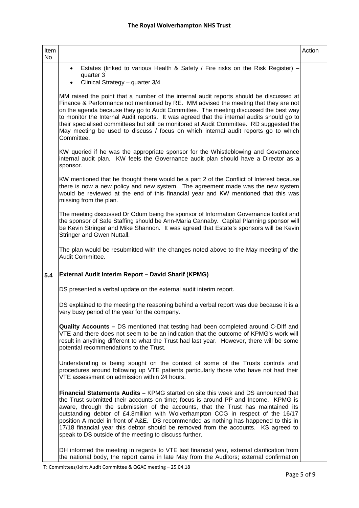| Item<br>No |                                                                                                                                                                                                                                                                                                                                                                                                                                                                                                                                                                                         | Action |
|------------|-----------------------------------------------------------------------------------------------------------------------------------------------------------------------------------------------------------------------------------------------------------------------------------------------------------------------------------------------------------------------------------------------------------------------------------------------------------------------------------------------------------------------------------------------------------------------------------------|--------|
|            | Estates (linked to various Health & Safety / Fire risks on the Risk Register) -<br>$\bullet$<br>quarter 3                                                                                                                                                                                                                                                                                                                                                                                                                                                                               |        |
|            | Clinical Strategy - quarter 3/4                                                                                                                                                                                                                                                                                                                                                                                                                                                                                                                                                         |        |
|            | MM raised the point that a number of the internal audit reports should be discussed at<br>Finance & Performance not mentioned by RE. MM advised the meeting that they are not<br>on the agenda because they go to Audit Committee. The meeting discussed the best way<br>to monitor the Internal Audit reports. It was agreed that the internal audits should go to<br>their specialised committees but still be monitored at Audit Committee. RD suggested the<br>May meeting be used to discuss / focus on which internal audit reports go to which<br>Committee.                     |        |
|            | KW queried if he was the appropriate sponsor for the Whistleblowing and Governance<br>internal audit plan. KW feels the Governance audit plan should have a Director as a<br>sponsor.                                                                                                                                                                                                                                                                                                                                                                                                   |        |
|            | KW mentioned that he thought there would be a part 2 of the Conflict of Interest because<br>there is now a new policy and new system. The agreement made was the new system<br>would be reviewed at the end of this financial year and KW mentioned that this was<br>missing from the plan.                                                                                                                                                                                                                                                                                             |        |
|            | The meeting discussed Dr Odum being the sponsor of Information Governance toolkit and<br>the sponsor of Safe Staffing should be Ann-Maria Cannaby. Capital Planning sponsor will<br>be Kevin Stringer and Mike Shannon. It was agreed that Estate's sponsors will be Kevin<br>Stringer and Gwen Nuttall.                                                                                                                                                                                                                                                                                |        |
|            | The plan would be resubmitted with the changes noted above to the May meeting of the<br>Audit Committee.                                                                                                                                                                                                                                                                                                                                                                                                                                                                                |        |
| 5.4        | External Audit Interim Report - David Sharif (KPMG)                                                                                                                                                                                                                                                                                                                                                                                                                                                                                                                                     |        |
|            | DS presented a verbal update on the external audit interim report.                                                                                                                                                                                                                                                                                                                                                                                                                                                                                                                      |        |
|            | DS explained to the meeting the reasoning behind a verbal report was due because it is a<br>very busy period of the year for the company.                                                                                                                                                                                                                                                                                                                                                                                                                                               |        |
|            | <b>Quality Accounts - DS</b> mentioned that testing had been completed around C-Diff and<br>VTE and there does not seem to be an indication that the outcome of KPMG's work will<br>result in anything different to what the Trust had last year. However, there will be some<br>potential recommendations to the Trust.                                                                                                                                                                                                                                                                |        |
|            | Understanding is being sought on the context of some of the Trusts controls and<br>procedures around following up VTE patients particularly those who have not had their<br>VTE assessment on admission within 24 hours.                                                                                                                                                                                                                                                                                                                                                                |        |
|            | Financial Statements Audits - KPMG started on site this week and DS announced that<br>the Trust submitted their accounts on time; focus is around PP and Income. KPMG is<br>aware, through the submission of the accounts, that the Trust has maintained its<br>outstanding debtor of £4.8million with Wolverhampton CCG in respect of the 16/17<br>position A model in front of A&E. DS recommended as nothing has happened to this in<br>17/18 financial year this debtor should be removed from the accounts. KS agreed to<br>speak to DS outside of the meeting to discuss further. |        |
|            | DH informed the meeting in regards to VTE last financial year, external clarification from<br>the national body, the report came in late May from the Auditors; external confirmation                                                                                                                                                                                                                                                                                                                                                                                                   |        |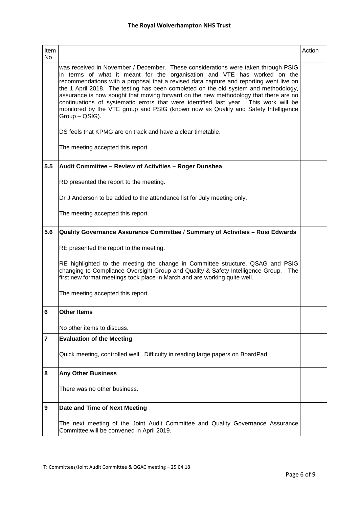| Item<br>No     |                                                                                                                                                                                                                                                                                                                                                                                                                                                                                                                                                                                                                                       | Action |  |  |  |  |
|----------------|---------------------------------------------------------------------------------------------------------------------------------------------------------------------------------------------------------------------------------------------------------------------------------------------------------------------------------------------------------------------------------------------------------------------------------------------------------------------------------------------------------------------------------------------------------------------------------------------------------------------------------------|--------|--|--|--|--|
|                | was received in November / December. These considerations were taken through PSIG<br>in terms of what it meant for the organisation and VTE has worked on the<br>recommendations with a proposal that a revised data capture and reporting went live on<br>the 1 April 2018. The testing has been completed on the old system and methodology,<br>assurance is now sought that moving forward on the new methodology that there are no<br>continuations of systematic errors that were identified last year. This work will be<br>monitored by the VTE group and PSIG (known now as Quality and Safety Intelligence<br>Group - QSIG). |        |  |  |  |  |
|                | DS feels that KPMG are on track and have a clear timetable.                                                                                                                                                                                                                                                                                                                                                                                                                                                                                                                                                                           |        |  |  |  |  |
|                | The meeting accepted this report.                                                                                                                                                                                                                                                                                                                                                                                                                                                                                                                                                                                                     |        |  |  |  |  |
| 5.5            | Audit Committee - Review of Activities - Roger Dunshea                                                                                                                                                                                                                                                                                                                                                                                                                                                                                                                                                                                |        |  |  |  |  |
|                | RD presented the report to the meeting.                                                                                                                                                                                                                                                                                                                                                                                                                                                                                                                                                                                               |        |  |  |  |  |
|                | Dr J Anderson to be added to the attendance list for July meeting only.                                                                                                                                                                                                                                                                                                                                                                                                                                                                                                                                                               |        |  |  |  |  |
|                | The meeting accepted this report.                                                                                                                                                                                                                                                                                                                                                                                                                                                                                                                                                                                                     |        |  |  |  |  |
| 5.6            | Quality Governance Assurance Committee / Summary of Activities - Rosi Edwards                                                                                                                                                                                                                                                                                                                                                                                                                                                                                                                                                         |        |  |  |  |  |
|                | RE presented the report to the meeting.                                                                                                                                                                                                                                                                                                                                                                                                                                                                                                                                                                                               |        |  |  |  |  |
|                | RE highlighted to the meeting the change in Committee structure, QSAG and PSIG<br>changing to Compliance Oversight Group and Quality & Safety Intelligence Group. The<br>first new format meetings took place in March and are working quite well.                                                                                                                                                                                                                                                                                                                                                                                    |        |  |  |  |  |
|                | The meeting accepted this report.                                                                                                                                                                                                                                                                                                                                                                                                                                                                                                                                                                                                     |        |  |  |  |  |
|                | <b>Other Items</b>                                                                                                                                                                                                                                                                                                                                                                                                                                                                                                                                                                                                                    |        |  |  |  |  |
|                | No other items to discuss.                                                                                                                                                                                                                                                                                                                                                                                                                                                                                                                                                                                                            |        |  |  |  |  |
| $\overline{7}$ | <b>Evaluation of the Meeting</b>                                                                                                                                                                                                                                                                                                                                                                                                                                                                                                                                                                                                      |        |  |  |  |  |
|                | Quick meeting, controlled well. Difficulty in reading large papers on BoardPad.                                                                                                                                                                                                                                                                                                                                                                                                                                                                                                                                                       |        |  |  |  |  |
| 8              | <b>Any Other Business</b>                                                                                                                                                                                                                                                                                                                                                                                                                                                                                                                                                                                                             |        |  |  |  |  |
|                | There was no other business.                                                                                                                                                                                                                                                                                                                                                                                                                                                                                                                                                                                                          |        |  |  |  |  |
| 9              | Date and Time of Next Meeting                                                                                                                                                                                                                                                                                                                                                                                                                                                                                                                                                                                                         |        |  |  |  |  |
|                | The next meeting of the Joint Audit Committee and Quality Governance Assurance<br>Committee will be convened in April 2019.                                                                                                                                                                                                                                                                                                                                                                                                                                                                                                           |        |  |  |  |  |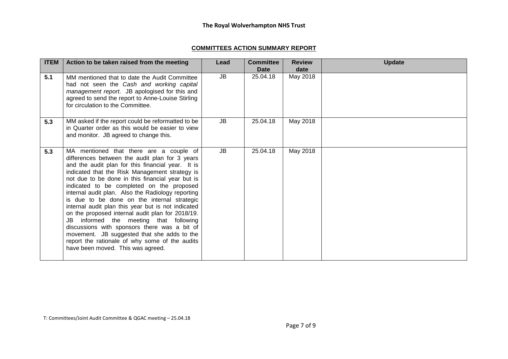## **COMMITTEES ACTION SUMMARY REPORT**

| <b>ITEM</b> | Action to be taken raised from the meeting                                                                                                                                                                                                                                                                                                                                                                                                                                                                                                                                                                                                                                                                                                      | Lead      | <b>Committee</b><br>Date | <b>Review</b><br>date | <b>Update</b> |
|-------------|-------------------------------------------------------------------------------------------------------------------------------------------------------------------------------------------------------------------------------------------------------------------------------------------------------------------------------------------------------------------------------------------------------------------------------------------------------------------------------------------------------------------------------------------------------------------------------------------------------------------------------------------------------------------------------------------------------------------------------------------------|-----------|--------------------------|-----------------------|---------------|
| 5.1         | MM mentioned that to date the Audit Committee<br>had not seen the Cash and working capital<br>management report. JB apologised for this and<br>agreed to send the report to Anne-Louise Stirling<br>for circulation to the Committee.                                                                                                                                                                                                                                                                                                                                                                                                                                                                                                           | JB        | 25.04.18                 | May 2018              |               |
| 5.3         | MM asked if the report could be reformatted to be<br>in Quarter order as this would be easier to view<br>and monitor. JB agreed to change this.                                                                                                                                                                                                                                                                                                                                                                                                                                                                                                                                                                                                 | JB        | 25.04.18                 | May 2018              |               |
| 5.3         | MA mentioned that there are a couple of<br>differences between the audit plan for 3 years<br>and the audit plan for this financial year. It is<br>indicated that the Risk Management strategy is<br>not due to be done in this financial year but is<br>indicated to be completed on the proposed<br>internal audit plan. Also the Radiology reporting<br>is due to be done on the internal strategic<br>internal audit plan this year but is not indicated<br>on the proposed internal audit plan for 2018/19.<br>JB informed the meeting that following<br>discussions with sponsors there was a bit of<br>movement. JB suggested that she adds to the<br>report the rationale of why some of the audits<br>have been moved. This was agreed. | <b>JB</b> | 25.04.18                 | May 2018              |               |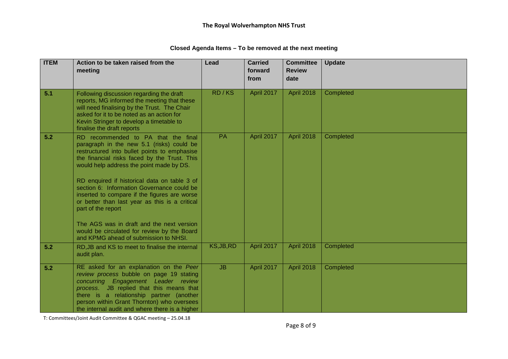| <b>ITEM</b> | Action to be taken raised from the<br>meeting                                                                                                                                                                                                                                                                                                                                                                                                                                                                                                  | Lead       | <b>Carried</b><br>forward<br>from | <b>Committee</b><br><b>Review</b><br>date | <b>Update</b> |
|-------------|------------------------------------------------------------------------------------------------------------------------------------------------------------------------------------------------------------------------------------------------------------------------------------------------------------------------------------------------------------------------------------------------------------------------------------------------------------------------------------------------------------------------------------------------|------------|-----------------------------------|-------------------------------------------|---------------|
|             |                                                                                                                                                                                                                                                                                                                                                                                                                                                                                                                                                |            |                                   |                                           |               |
| 5.1         | Following discussion regarding the draft<br>reports, MG informed the meeting that these<br>will need finalising by the Trust. The Chair<br>asked for it to be noted as an action for<br>Kevin Stringer to develop a timetable to<br>finalise the draft reports                                                                                                                                                                                                                                                                                 | RD/KS      | April 2017                        | <b>April 2018</b>                         | Completed     |
| 5.2         | RD recommended to PA that the final<br>paragraph in the new 5.1 (risks) could be<br>restructured into bullet points to emphasise<br>the financial risks faced by the Trust. This<br>would help address the point made by DS.<br>RD enquired if historical data on table 3 of<br>section 6: Information Governance could be<br>inserted to compare if the figures are worse<br>or better than last year as this is a critical<br>part of the report<br>The AGS was in draft and the next version<br>would be circulated for review by the Board | PA         | April 2017                        | <b>April 2018</b>                         | Completed     |
|             | and KPMG ahead of submission to NHSI.                                                                                                                                                                                                                                                                                                                                                                                                                                                                                                          |            |                                   |                                           |               |
| 5.2         | RD, JB and KS to meet to finalise the internal<br>audit plan.                                                                                                                                                                                                                                                                                                                                                                                                                                                                                  | KS, JB, RD | April 2017                        | <b>April 2018</b>                         | Completed     |
| 5.2         | RE asked for an explanation on the Peer<br>review process bubble on page 19 stating<br>concurring Engagement Leader review<br>process. JB replied that this means that<br>there is a relationship partner (another<br>person within Grant Thornton) who oversees<br>the internal audit and where there is a higher                                                                                                                                                                                                                             | JB         | April 2017                        | <b>April 2018</b>                         | Completed     |

## **Closed Agenda Items – To be removed at the next meeting**